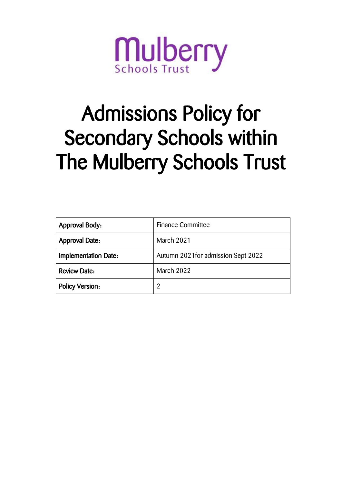

# Admissions Policy for Secondary Schools within The Mulberry Schools Trust

| <b>Approval Body:</b>  | <b>Finance Committee</b>            |  |
|------------------------|-------------------------------------|--|
| <b>Approval Date:</b>  | March 2021                          |  |
| Implementation Date:   | Autumn 2021 for admission Sept 2022 |  |
| <b>Review Date:</b>    | March 2022                          |  |
| <b>Policy Version:</b> |                                     |  |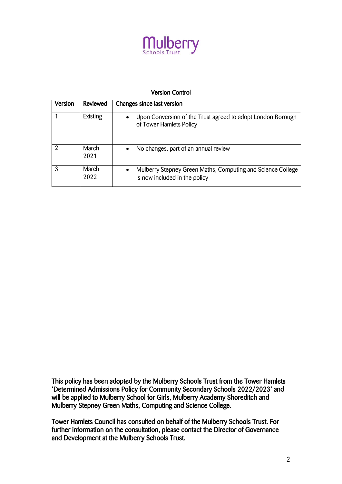

#### Version Control

| <b>Version</b> | Reviewed      | Changes since last version                                                                   |
|----------------|---------------|----------------------------------------------------------------------------------------------|
|                | Existing      | Upon Conversion of the Trust agreed to adopt London Borough<br>of Tower Hamlets Policy       |
| 2              | March<br>2021 | No changes, part of an annual review<br>$\bullet$                                            |
| 3              | March<br>2022 | Mulberry Stepney Green Maths, Computing and Science College<br>is now included in the policy |

This policy has been adopted by the Mulberry Schools Trust from the Tower Hamlets 'Determined Admissions Policy for Community Secondary Schools 2022/2023' and will be applied to Mulberry School for Girls, Mulberry Academy Shoreditch and Mulberry Stepney Green Maths, Computing and Science College.

Tower Hamlets Council has consulted on behalf of the Mulberry Schools Trust. For further information on the consultation, please contact the Director of Governance and Development at the Mulberry Schools Trust.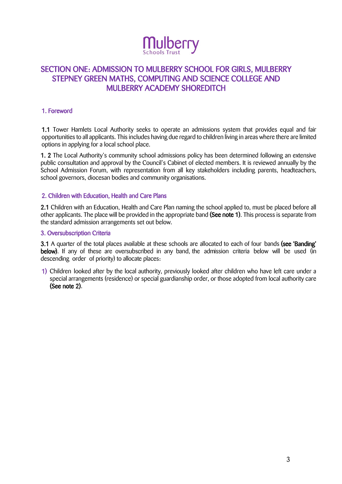

# SECTION ONE: ADMISSION TO MULBERRY SCHOOL FOR GIRLS, MULBERRY STEPNEY GREEN MATHS, COMPUTING AND SCIENCE COLLEGE AND MULBERRY ACADEMY SHOREDITCH

#### 1. Foreword

1.1 Tower Hamlets Local Authority seeks to operate an admissions system that provides equal and fair opportunities to all applicants. This includes having due regard to children living in areas where there are limited options in applying for a local school place.

1. 2 The Local Authority's community school admissions policy has been determined following an extensive public consultation and approval by the Council's Cabinet of elected members. It is reviewed annually by the School Admission Forum, with representation from all key stakeholders including parents, headteachers, school governors, diocesan bodies and community organisations.

#### 2. Children with Education, Health and Care Plans

2.1 Children with an Education, Health and Care Plan naming the school applied to, must be placed before all other applicants. The place will be provided in the appropriate band (See note 1). This process is separate from the standard admission arrangements set out below.

#### 3. Oversubscription Criteria

3.1 A quarter of the total places available at these schools are allocated to each of four bands (see 'Banding' below). If any of these are oversubscribed in any band, the admission criteria below will be used (in descending order of priority) to allocate places:

1) Children looked after by the local authority, previously looked after children who have left care under a special arrangements (residence) or special guardianship order, or those adopted from local authority care (See note 2).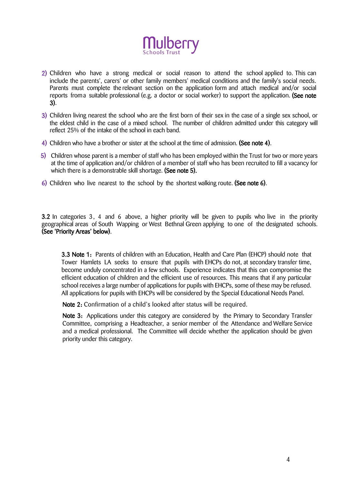

- 2) Children who have a strong medical or social reason to attend the school applied to. This can include the parents', carers' or other family members' medical conditions and the family's social needs. Parents must complete the relevant section on the application form and attach medical and/or social reports from a suitable professional (e.g. a doctor or social worker) to support the application. (See note 3).
- 3) Children living nearest the school who are the first born of their sex in the case of a single sex school, or the eldest child in the case of a mixed school. The number of children admitted under this category will reflect 25% of the intake of the school in each band.
- 4) Children who have a brother or sister at the school at the time of admission. (See note 4).
- 5) Children whose parent is a member of staff who has been employed within the Trust for two or more years at the time of application and/or children of a member of staff who has been recruited to fill a vacancy for which there is a demonstrable skill shortage. (See note 5).
- 6) Children who live nearest to the school by the shortest walking route. (See note 6).

3.2 In categories 3, 4 and 6 above, a higher priority will be given to pupils who live in the priority geographical areas of South Wapping or West Bethnal Green applying to one of the designated schools. (See 'Priority Areas' below).

3.3 Note 1: Parents of children with an Education, Health and Care Plan (EHCP) should note that Tower Hamlets LA seeks to ensure that pupils with EHCPs do not, at secondary transfer time, become unduly concentrated in a few schools. Experience indicates that this can compromise the efficient education of children and the efficient use of resources. This means that if any particular school receives a large number of applications for pupils with EHCPs, some of these may be refused. All applications for pupils with EHCPs will be considered by the Special Educational Needs Panel.

Note 2: Confirmation of a child's looked after status will be required.

Note 3: Applications under this category are considered by the Primary to Secondary Transfer Committee, comprising a Headteacher, a senior member of the Attendance and Welfare Service and a medical professional. The Committee will decide whether the application should be given priority under this category.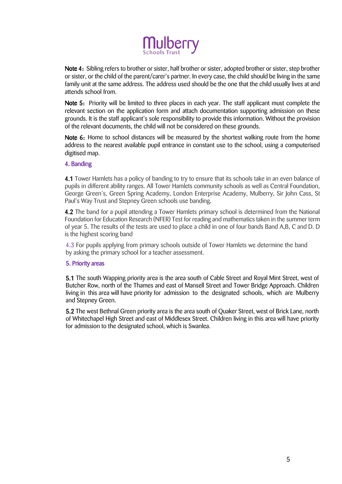

Note 4: Sibling refers to brother or sister, half brother or sister, adopted brother or sister, step brother or sister, or the child of the parent/carer's partner. In every case, the child should be living in the same family unit at the same address. The address used should be the one that the child usually lives at and attends school from.

Note 5: Priority will be limited to three places in each year. The staff applicant must complete the relevant section on the application form and attach documentation supporting admission on these grounds. It is the staff applicant's sole responsibility to provide this information. Without the provision of the relevant documents, the child will not be considered on these grounds.

Note 6: Home to school distances will be measured by the shortest walking route from the home address to the nearest available pupil entrance in constant use to the school, using a computerised digitised map.

#### 4. Banding

4.1 Tower Hamlets has a policy of banding to try to ensure that its schools take in an even balance of pupils in different ability ranges. All Tower Hamlets community schools as well as Central Foundation, George Green's, Green Spring Academy, London Enterprise Academy, Mulberry, Sir John Cass, St Paul's Way Trust and Stepney Green schools use banding.

4.2 The band for a pupil attending a Tower Hamlets primary school is determined from the National Foundation for Education Research (NFER) Test for reading and mathematics taken in the summer term of year 5. The results of the tests are used to place a child in one of four bands Band A,B, C and D. D is the highest scoring band

4.3 For pupils applying from primary schools outside of Tower Hamlets we determine the band by asking the primary school for a teacher assessment.

#### 5. Priority areas

5.1 The south Wapping priority area is the area south of Cable Street and Royal Mint Street, west of Butcher Row, north of the Thames and east of Mansell Street and Tower Bridge Approach. Children living in this area will have priority for admission to the designated schools, which are Mulberry and Stepney Green.

5.2 The west Bethnal Green priority area is the area south of Quaker Street, west of Brick Lane, north of Whitechapel High Street and east of Middlesex Street. Children living in this area will have priority for admission to the designated school, which is Swanlea.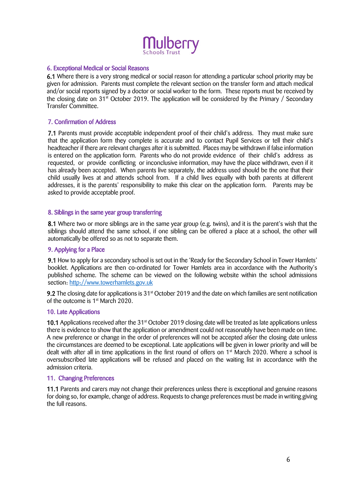

#### 6. Exceptional Medical or Social Reasons

6.1 Where there is a very strong medical or social reason for attending a particular school priority may be given for admission. Parents must complete the relevant section on the transfer form and attach medical and/or social reports signed by a doctor or social worker to the form. These reports must be received by the closing date on  $31^{st}$  October 2019. The application will be considered by the Primary / Secondary Transfer Committee.

#### 7. Confirmation of Address

7.1 Parents must provide acceptable independent proof of their child's address. They must make sure that the application form they complete is accurate and to contact Pupil Services or tell their child's headteacher if there are relevant changes after it is submitted. Places may be withdrawn if false information is entered on the application form. Parents who do not provide evidence of their child's address as requested, or provide conflicting or inconclusive information, may have the place withdrawn, even if it has already been accepted. When parents live separately, the address used should be the one that their child usually lives at and attends school from. If a child lives equally with both parents at different addresses, it is the parents' responsibility to make this clear on the application form. Parents may be asked to provide acceptable proof.

#### 8. Siblings in the same year group transferring

8.1 Where two or more siblings are in the same year group (e.g. twins), and it is the parent's wish that the siblings should attend the same school, if one sibling can be offered a place at a school, the other will automatically be offered so as not to separate them.

#### 9. Applying for a Place

9.1 How to apply for a secondary school is set out in the 'Ready for the Secondary School in Tower Hamlets' booklet. Applications are then co-ordinated for Tower Hamlets area in accordance with the Authority's published scheme. The scheme can be viewed on the following website within the school admissions section: http://www.towerhamlets.gov.uk

9.2 The closing date for applications is 31<sup>st</sup> October 2019 and the date on which families are sent notification of the outcome is 1st March 2020.

#### 10. Late Applications

10.1 Applications received after the 31<sup>st</sup> October 2019 closing date will be treated as late applications unless there is evidence to show that the application or amendment could not reasonably have been made on time. A new preference or change in the order of preferences will not be accepted af6er the closing date unless the circumstances are deemed to be exceptional. Late applications will be given in lower priority and will be dealt with after all in time applications in the first round of offers on 1<sup>st</sup> March 2020. Where a school is oversubscribed late applications will be refused and placed on the waiting list in accordance with the admission criteria.

#### 11. Changing Preferences

11.1 Parents and carers may not change their preferences unless there is exceptional and genuine reasons for doing so, for example, change of address. Requests to change preferences must be made in writing giving the full reasons.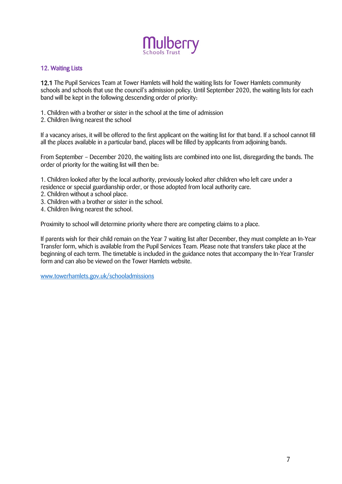

#### 12. Waiting Lists

12.1 The Pupil Services Team at Tower Hamlets will hold the waiting lists for Tower Hamlets community schools and schools that use the council's admission policy. Until September 2020, the waiting lists for each band will be kept in the following descending order of priority:

- 1. Children with a brother or sister in the school at the time of admission
- 2. Children living nearest the school

If a vacancy arises, it will be offered to the first applicant on the waiting list for that band. If a school cannot fill all the places available in a particular band, places will be filled by applicants from adjoining bands.

From September – December 2020, the waiting lists are combined into one list, disregarding the bands. The order of priority for the waiting list will then be:

1. Children looked after by the local authority, previously looked after children who left care under a residence or special guardianship order, or those adopted from local authority care.

- 2. Children without a school place.
- 3. Children with a brother or sister in the school.
- 4. Children living nearest the school.

Proximity to school will determine priority where there are competing claims to a place.

If parents wish for their child remain on the Year 7 waiting list after December, they must complete an In-Year Transfer form, which is available from the Pupil Services Team. Please note that transfers take place at the beginning of each term. The timetable is included in the guidance notes that accompany the In-Year Transfer form and can also be viewed on the Tower Hamlets website.

[www.towerhamlets.gov.uk/schooladmissions](http://www.towerhamlets.gov.uk/schooladmissions)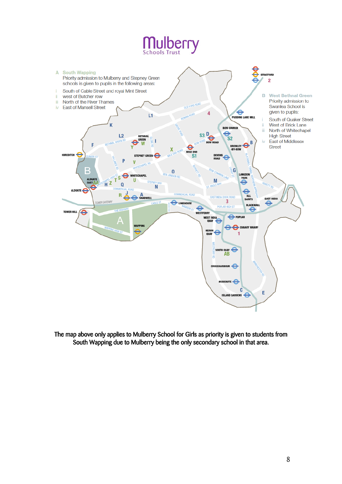# **Mulberry**



The map above only applies to Mulberry School for Girls as priority is given to students from South Wapping due to Mulberry being the only secondary school in that area.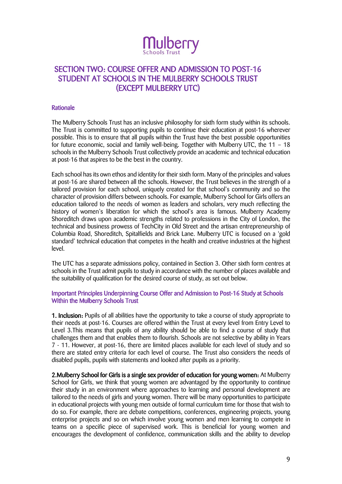

# SECTION TWO: COURSE OFFER AND ADMISSION TO POST-16 STUDENT AT SCHOOLS IN THE MULBERRY SCHOOLS TRUST (EXCEPT MULBERRY UTC)

#### Rationale

The Mulberry Schools Trust has an inclusive philosophy for sixth form study within its schools. The Trust is committed to supporting pupils to continue their education at post-16 wherever possible. This is to ensure that all pupils within the Trust have the best possible opportunities for future economic, social and family well-being. Together with Mulberry UTC, the 11 – 18 schools in the Mulberry Schools Trust collectively provide an academic and technical education at post-16 that aspires to be the best in the country.

Each school has its own ethos and identity for their sixth form. Many of the principles and values at post-16 are shared between all the schools. However, the Trust believes in the strength of a tailored provision for each school, uniquely created for that school's community and so the character of provision differs between schools. For example, Mulberry School for Girls offers an education tailored to the needs of women as leaders and scholars, very much reflecting the history of women's liberation for which the school's area is famous. Mulberry Academy Shoreditch draws upon academic strengths related to professions in the City of London, the technical and business prowess of TechCity in Old Street and the artisan entrepreneurship of Columbia Road, Shoreditch, Spitalfields and Brick Lane. Mulberry UTC is focused on a 'gold standard' technical education that competes in the health and creative industries at the highest level.

The UTC has a separate admissions policy, contained in Section 3. Other sixth form centres at schools in the Trust admit pupils to study in accordance with the number of places available and the suitability of qualification for the desired course of study, as set out below.

#### Important Principles Underpinning Course Offer and Admission to Post-16 Study at Schools Within the Mulberry Schools Trust

1. Inclusion: Pupils of all abilities have the opportunity to take a course of study appropriate to their needs at post-16. Courses are offered within the Trust at every level from Entry Level to Level 3.This means that pupils of any ability should be able to find a course of study that challenges them and that enables them to flourish. Schools are not selective by ability in Years 7 - 11. However, at post-16, there are limited places available for each level of study and so there are stated entry criteria for each level of course. The Trust also considers the needs of disabled pupils, pupils with statements and looked after pupils as a priority.

2.Mulberry School for Girls is a single sex provider of education for young women: At Mulberry School for Girls, we think that young women are advantaged by the opportunity to continue their study in an environment where approaches to learning and personal development are tailored to the needs of girls and young women. There will be many opportunities to participate in educational projects with young men outside of formal curriculum time for those that wish to do so. For example, there are debate competitions, conferences, engineering projects, young enterprise projects and so on which involve young women and men learning to compete in teams on a specific piece of supervised work. This is beneficial for young women and encourages the development of confidence, communication skills and the ability to develop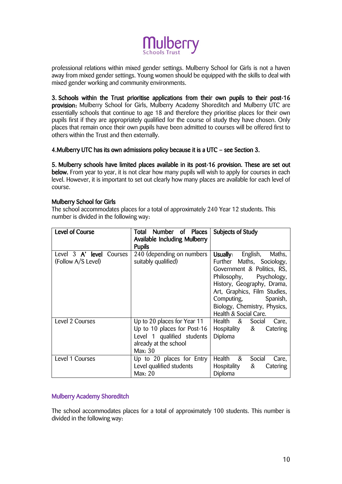

professional relations within mixed gender settings. Mulberry School for Girls is not a haven away from mixed gender settings. Young women should be equipped with the skills to deal with mixed gender working and community environments.

3. Schools within the Trust prioritise applications from their own pupils to their post-16 provision: Mulberry School for Girls, Mulberry Academy Shoreditch and Mulberry UTC are essentially schools that continue to age 18 and therefore they prioritise places for their own pupils first if they are appropriately qualified for the course of study they have chosen. Only places that remain once their own pupils have been admitted to courses will be offered first to others within the Trust and then externally.

#### 4.Mulberry UTC has its own admissions policy because it is a UTC – see Section 3.

5. Mulberry schools have limited places available in its post-16 provision. These are set out below. From year to year, it is not clear how many pupils will wish to apply for courses in each level. However, it is important to set out clearly how many places are available for each level of course.

#### Mulberry School for Girls

The school accommodates places for a total of approximately 240 Year 12 students. This number is divided in the following way:

| <b>Level of Course</b>   | Number of Places<br>Total    | Subjects of Study                 |
|--------------------------|------------------------------|-----------------------------------|
|                          | Available Including Mulberry |                                   |
|                          | <b>Pupils</b>                |                                   |
| Level 3 A' level Courses | 240 (depending on numbers    | Usually:<br>English,<br>Maths,    |
| (Follow A/S Level)       | suitably qualified)          | Further Maths, Sociology,         |
|                          |                              | Government & Politics, RS,        |
|                          |                              | Philosophy, Psychology,           |
|                          |                              | History, Geography, Drama,        |
|                          |                              | Art, Graphics, Film Studies,      |
|                          |                              | Computing,<br>Spanish,            |
|                          |                              | Biology, Chemistry, Physics,      |
|                          |                              | Health & Social Care.             |
| Level 2 Courses          | Up to 20 places for Year 11  | Health & Social<br>Care,          |
|                          | Up to 10 places for Post-16  | &<br>Hospitality<br>Catering      |
|                          | Level 1 qualified students   | Diploma                           |
|                          | already at the school        |                                   |
|                          | Max: 30                      |                                   |
| Level 1 Courses          | Up to 20 places for Entry    | Health<br>$\&$<br>Social<br>Care, |
|                          | Level qualified students     | Hospitality<br>&<br>Catering      |
|                          | Max: 20                      | Diploma                           |

#### Mulberry Academy Shoreditch

The school accommodates places for a total of approximately 100 students. This number is divided in the following way: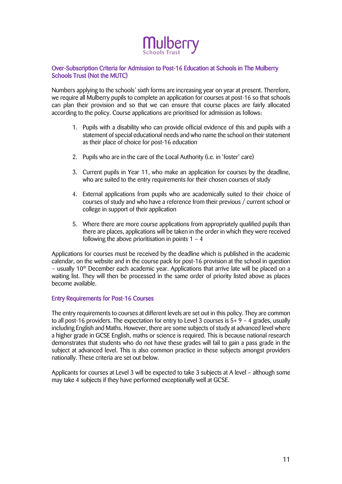

#### Over-Subscription Criteria for Admission to Post-16 Education at Schools in The Mulberry Schools Trust (Not the MUTC)

Numbers applying to the schools' sixth forms are increasing year on year at present. Therefore, we require all Mulberry pupils to complete an application for courses at post-16 so that schools can plan their provision and so that we can ensure that course places are fairly allocated according to the policy. Course applications are prioritised for admission as follows:

- 1. Pupils with a disability who can provide official evidence of this and pupils with a statement of special educational needs and who name the school on their statement as their place of choice for post-16 education
- 2. Pupils who are in the care of the Local Authority (i.e. in 'foster' care)
- 3. Current pupils in Year 11, who make an application for courses by the deadline, who are suited to the entry requirements for their chosen courses of study
- 4. External applications from pupils who are academically suited to their choice of courses of study and who have a reference from their previous / current school or college in support of their application
- 5. Where there are more course applications from appropriately qualified pupils than there are places, applications will be taken in the order in which they were received following the above prioritisation in points  $1 - 4$

Applications for courses must be received by the deadline which is published in the academic calendar, on the website and in the course pack for post-16 provision at the school in question – usually  $10<sup>th</sup>$  December each academic year. Applications that arrive late will be placed on a waiting list. They will then be processed in the same order of priority listed above as places become available.

#### Entry Requirements for Post-16 Courses

The entry requirements to courses at different levels are set out in this policy. They are common to all post-16 providers. The expectation for entry to Level 3 courses is 5+ 9 – 4 grades, usually including English and Maths. However, there are some subjects of study at advanced level where a higher grade in GCSE English, maths or science is required. This is because national research demonstrates that students who do not have these grades will fail to gain a pass grade in the subject at advanced level. This is also common practice in these subjects amongst providers nationally. These criteria are set out below.

Applicants for courses at Level 3 will be expected to take 3 subjects at A level – although some may take 4 subjects if they have performed exceptionally well at GCSE.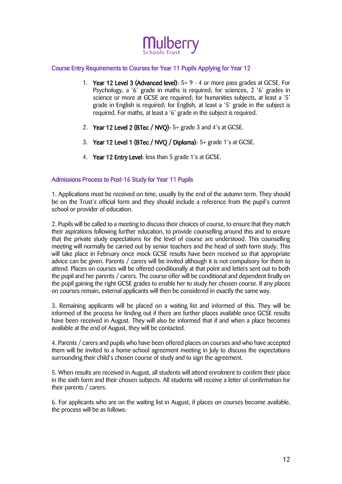

#### Course Entry Requirements to Courses for Year 11 Pupils Applying for Year 12

- 1. Year 12 Level 3 (Advanced level): 5+ 9 4 or more pass grades at GCSE. For Psychology, a '6' grade in maths is required; for sciences, 2 '6' grades in science or more at GCSE are required; for humanities subjects, at least a '5' grade in English is required; for English, at least a '5' grade in the subject is required. For maths, at least a '6' grade in the subject is required.
- 2. Year 12 Level 2 (BTec / NVQ):  $5+$  grade 3 and 4's at GCSE.
- 3. Year 12 Level 1 (BTec / NVQ / Diploma): 5+ grade 1's at GCSE.
- 4. Year 12 Entry Level: less than 5 grade 1's at GCSE.

#### Admissions Process to Post-16 Study for Year 11 Pupils

1. Applications must be received on time, usually by the end of the autumn term. They should be on the Trust's official form and they should include a reference from the pupil's current school or provider of education.

2. Pupils will be called to a meeting to discuss their choices of course, to ensure that they match their aspirations following further education, to provide counselling around this and to ensure that the private study expectations for the level of course are understood. This counselling meeting will normally be carried out by senior teachers and the head of sixth form study. This will take place in February once mock GCSE results have been received so that appropriate advice can be given. Parents / carers will be invited although it is not compulsory for them to attend. Places on courses will be offered conditionally at that point and letters sent out to both the pupil and her parents / carers. The course offer will be conditional and dependent finally on the pupil gaining the right GCSE grades to enable her to study her chosen course. If any places on courses remain, external applicants will then be considered in exactly the same way.

3. Remaining applicants will be placed on a waiting list and informed of this. They will be informed of the process for finding out if there are further places available once GCSE results have been received in August. They will also be informed that if and when a place becomes available at the end of August, they will be contacted.

4. Parents / carers and pupils who have been offered places on courses and who have accepted them will be invited to a home-school agreement meeting in July to discuss the expectations surrounding their child's chosen course of study and to sign the agreement.

5. When results are received in August, all students will attend enrolment to confirm their place in the sixth form and their chosen subjects. All students will receive a letter of confirmation for their parents / carers.

6. For applicants who are on the waiting list in August, if places on courses become available, the process will be as follows: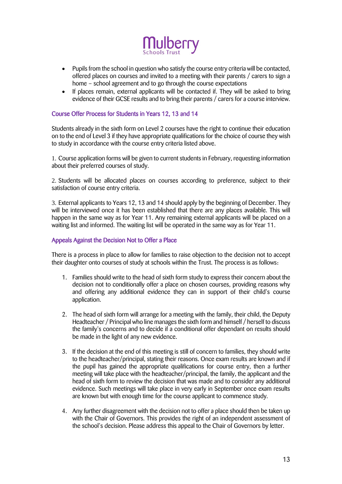

- Pupils from the school in question who satisfy the course entry criteria will be contacted, offered places on courses and invited to a meeting with their parents / carers to sign a home – school agreement and to go through the course expectations
- If places remain, external applicants will be contacted if. They will be asked to bring evidence of their GCSE results and to bring their parents / carers for a course interview.

#### Course Offer Process for Students in Years 12, 13 and 14

Students already in the sixth form on Level 2 courses have the right to continue their education on to the end of Level 3 if they have appropriate qualifications for the choice of course they wish to study in accordance with the course entry criteria listed above.

1. Course application forms will be given to current students in February, requesting information about their preferred courses of study.

2. Students will be allocated places on courses according to preference, subject to their satisfaction of course entry criteria.

3. External applicants to Years 12, 13 and 14 should apply by the beginning of December. They will be interviewed once it has been established that there are any places available. This will happen in the same way as for Year 11. Any remaining external applicants will be placed on a waiting list and informed. The waiting list will be operated in the same way as for Year 11.

#### Appeals Against the Decision Not to Offer a Place

There is a process in place to allow for families to raise objection to the decision not to accept their daughter onto courses of study at schools within the Trust. The process is as follows:

- 1. Families should write to the head of sixth form study to express their concern about the decision not to conditionally offer a place on chosen courses, providing reasons why and offering any additional evidence they can in support of their child's course application.
- 2. The head of sixth form will arrange for a meeting with the family, their child, the Deputy Headteacher / Principal who line manages the sixth form and himself / herself to discuss the family's concerns and to decide if a conditional offer dependant on results should be made in the light of any new evidence.
- 3. If the decision at the end of this meeting is still of concern to families, they should write to the headteacher/principal, stating their reasons. Once exam results are known and if the pupil has gained the appropriate qualifications for course entry, then a further meeting will take place with the headteacher/principal, the family, the applicant and the head of sixth form to review the decision that was made and to consider any additional evidence. Such meetings will take place in very early in September once exam results are known but with enough time for the course applicant to commence study.
- 4. Any further disagreement with the decision not to offer a place should then be taken up with the Chair of Governors. This provides the right of an independent assessment of the school's decision. Please address this appeal to the Chair of Governors by letter.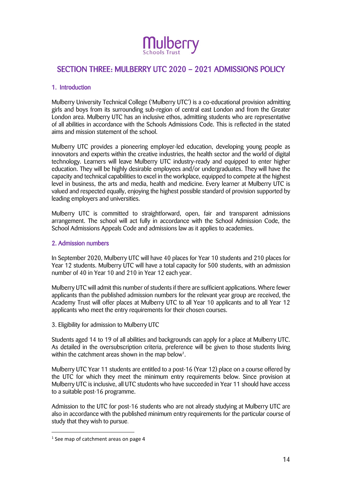

# SECTION THREE: MULBERRY UTC 2020 – 2021 ADMISSIONS POLICY

#### 1. Introduction

Mulberry University Technical College ('Mulberry UTC') is a co-educational provision admitting girls and boys from its surrounding sub-region of central east London and from the Greater London area. Mulberry UTC has an inclusive ethos, admitting students who are representative of all abilities in accordance with the Schools Admissions Code. This is reflected in the stated aims and mission statement of the school.

Mulberry UTC provides a pioneering employer-led education, developing young people as innovators and experts within the creative industries, the health sector and the world of digital technology. Learners will leave Mulberry UTC industry-ready and equipped to enter higher education. They will be highly desirable employees and/or undergraduates. They will have the capacity and technical capabilities to excel in the workplace, equipped to compete at the highest level in business, the arts and media, health and medicine. Every learner at Mulberry UTC is valued and respected equally, enjoying the highest possible standard of provision supported by leading employers and universities.

Mulberry UTC is committed to straightforward, open, fair and transparent admissions arrangement. The school will act fully in accordance with the School Admission Code, the School Admissions Appeals Code and admissions law as it applies to academies.

#### 2. Admission numbers

In September 2020, Mulberry UTC will have 40 places for Year 10 students and 210 places for Year 12 students. Mulberry UTC will have a total capacity for 500 students, with an admission number of 40 in Year 10 and 210 in Year 12 each year.

Mulberry UTC will admit this number of students if there are sufficient applications. Where fewer applicants than the published admission numbers for the relevant year group are received, the Academy Trust will offer places at Mulberry UTC to all Year 10 applicants and to all Year 12 applicants who meet the entry requirements for their chosen courses.

3. Eligibility for admission to Mulberry UTC

Students aged 14 to 19 of all abilities and backgrounds can apply for a place at Mulberry UTC. As detailed in the oversubscription criteria, preference will be given to those students living within the catchment areas shown in the map below<sup>1</sup>.

Mulberry UTC Year 11 students are entitled to a post-16 (Year 12) place on a course offered by the UTC for which they meet the minimum entry requirements below. Since provision at Mulberry UTC is inclusive, all UTC students who have succeeded in Year 11 should have access to a suitable post-16 programme.

Admission to the UTC for post-16 students who are not already studying at Mulberry UTC are also in accordance with the published minimum entry requirements for the particular course of study that they wish to pursue.

1

<sup>&</sup>lt;sup>1</sup> See map of catchment areas on page 4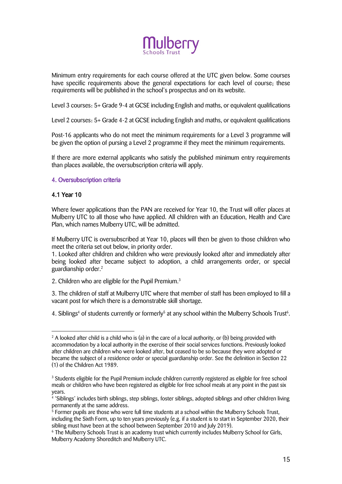

Minimum entry requirements for each course offered at the UTC given below. Some courses have specific requirements above the general expectations for each level of course; these requirements will be published in the school's prospectus and on its website.

Level 3 courses: 5+ Grade 9-4 at GCSE including English and maths, or equivalent qualifications

Level 2 courses: 5+ Grade 4-2 at GCSE including English and maths, or equivalent qualifications

Post-16 applicants who do not meet the minimum requirements for a Level 3 programme will be given the option of pursing a Level 2 programme if they meet the minimum requirements.

If there are more external applicants who satisfy the published minimum entry requirements than places available, the oversubscription criteria will apply.

#### 4. Oversubscription criteria

#### 4.1 Year 10

1

Where fewer applications than the PAN are received for Year 10, the Trust will offer places at Mulberry UTC to all those who have applied. All children with an Education, Health and Care Plan, which names Mulberry UTC, will be admitted.

If Mulberry UTC is oversubscribed at Year 10, places will then be given to those children who meet the criteria set out below, in priority order.

1. Looked after children and children who were previously looked after and immediately after being looked after became subject to adoption, a child arrangements order, or special guardianship order.<sup>2</sup>

2. Children who are eligible for the Pupil Premium.<sup>3</sup>

3. The children of staff at Mulberry UTC where that member of staff has been employed to fill a vacant post for which there is a demonstrable skill shortage.

4. Siblings<sup>4</sup> of students currently or formerly<sup>5</sup> at any school within the Mulberry Schools Trust<sup>6</sup>.

<sup>&</sup>lt;sup>2</sup> A looked after child is a child who is (a) in the care of a local authority, or (b) being provided with accommodation by a local authority in the exercise of their social services functions. Previously looked after children are children who were looked after, but ceased to be so because they were adopted or became the subject of a residence order or special guardianship order. See the definition in Section 22 (1) of the Children Act 1989.

<sup>&</sup>lt;sup>3</sup> Students eligible for the Pupil Premium include children currently registered as eligible for free school meals or children who have been registered as eligible for free school meals at any point in the past six years.

<sup>4</sup> 'Siblings' includes birth siblings, step siblings, foster siblings, adopted siblings and other children living permanently at the same address.

<sup>&</sup>lt;sup>5</sup> Former pupils are those who were full time students at a school within the Mulberry Schools Trust, including the Sixth Form, up to ten years previously (e.g. if a student is to start in September 2020, their sibling must have been at the school between September 2010 and July 2019).

<sup>6</sup> The Mulberry Schools Trust is an academy trust which currently includes Mulberry School for Girls, Mulberry Academy Shoreditch and Mulberry UTC.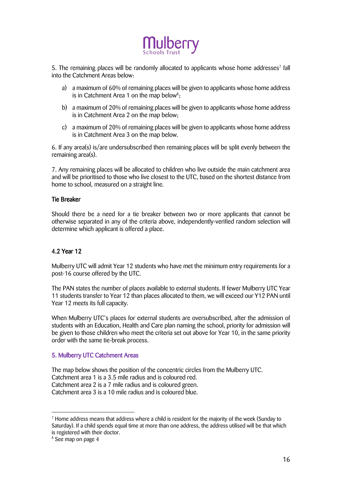

5. The remaining places will be randomly allocated to applicants whose home addresses<sup>7</sup> fall into the Catchment Areas below:

- a) a maximum of 60% of remaining places will be given to applicants whose home address is in Catchment Area 1 on the map below<sup>8</sup>;
- b) a maximum of 20% of remaining places will be given to applicants whose home address is in Catchment Area 2 on the map below;
- c) a maximum of 20% of remaining places will be given to applicants whose home address is in Catchment Area 3 on the map below.

6. If any area(s) is/are undersubscribed then remaining places will be split evenly between the remaining area(s).

7. Any remaining places will be allocated to children who live outside the main catchment area and will be prioritised to those who live closest to the UTC, based on the shortest distance from home to school, measured on a straight line.

#### Tie Breaker

Should there be a need for a tie breaker between two or more applicants that cannot be otherwise separated in any of the criteria above, independently-verified random selection will determine which applicant is offered a place.

### 4.2 Year 12

Mulberry UTC will admit Year 12 students who have met the minimum entry requirements for a post-16 course offered by the UTC.

The PAN states the number of places available to external students. If fewer Mulberry UTC Year 11 students transfer to Year 12 than places allocated to them, we will exceed our Y12 PAN until Year 12 meets its full capacity.

When Mulberry UTC's places for external students are oversubscribed, after the admission of students with an Education, Health and Care plan naming the school, priority for admission will be given to those children who meet the criteria set out above for Year 10, in the same priority order with the same tie-break process.

#### 5. Mulberry UTC Catchment Areas

The map below shows the position of the concentric circles from the Mulberry UTC. Catchment area 1 is a 3.5 mile radius and is coloured red. Catchment area 2 is a 7 mile radius and is coloured green. Catchment area 3 is a 10 mile radius and is coloured blue.

<u>.</u>

 $7$  Home address means that address where a child is resident for the majority of the week (Sunday to Saturday). If a child spends equal time at more than one address, the address utilised will be that which is registered with their doctor.

<sup>8</sup> See map on page 4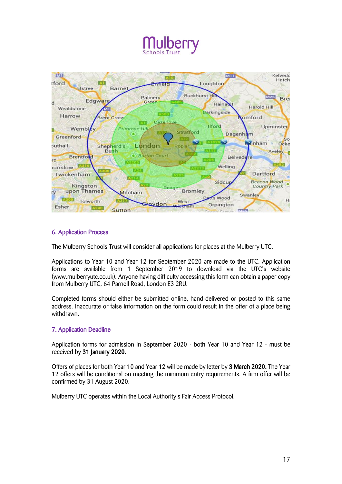

### 6. Application Process

The Mulberry Schools Trust will consider all applications for places at the Mulberry UTC.

Applications to Year 10 and Year 12 for September 2020 are made to the UTC. Application forms are available from 1 September 2019 to download via the UTC's website (www.mulberryutc.co.uk). Anyone having difficulty accessing this form can obtain a paper copy from Mulberry UTC, 64 Parnell Road, London E3 2RU.

Completed forms should either be submitted online, hand-delivered or posted to this same address. Inaccurate or false information on the form could result in the offer of a place being withdrawn.

#### 7. Application Deadline

Application forms for admission in September 2020 - both Year 10 and Year 12 - must be received by 31 January 2020.

Offers of places for both Year 10 and Year 12 will be made by letter by 3 March 2020. The Year 12 offers will be conditional on meeting the minimum entry requirements. A firm offer will be confirmed by 31 August 2020.

Mulberry UTC operates within the Local Authority's Fair Access Protocol.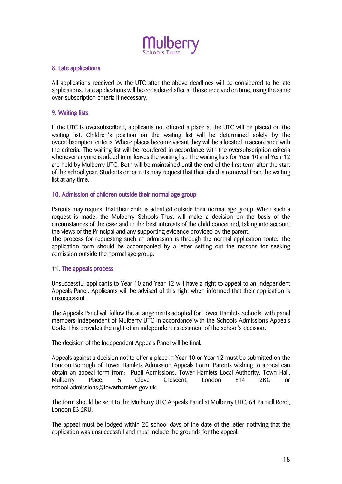

#### 8. Late applications

All applications received by the UTC after the above deadlines will be considered to be late applications. Late applications will be considered after all those received on time, using the same over-subscription criteria if necessary.

#### 9. Waiting lists

If the UTC is oversubscribed, applicants not offered a place at the UTC will be placed on the waiting list. Children's position on the waiting list will be determined solely by the oversubscription criteria. Where places become vacant they will be allocated in accordance with the criteria. The waiting list will be reordered in accordance with the oversubscription criteria whenever anyone is added to or leaves the waiting list. The waiting lists for Year 10 and Year 12 are held by Mulberry UTC. Both will be maintained until the end of the first term after the start of the school year. Students or parents may request that their child is removed from the waiting list at any time.

#### 10. Admission of children outside their normal age group

Parents may request that their child is admitted outside their normal age group. When such a request is made, the Mulberry Schools Trust will make a decision on the basis of the circumstances of the case and in the best interests of the child concerned, taking into account the views of the Principal and any supporting evidence provided by the parent.

The process for requesting such an admission is through the normal application route. The application form should be accompanied by a letter setting out the reasons for seeking admission outside the normal age group.

#### 11. The appeals process

Unsuccessful applicants to Year 10 and Year 12 will have a right to appeal to an Independent Appeals Panel. Applicants will be advised of this right when informed that their application is unsuccessful.

The Appeals Panel will follow the arrangements adopted for Tower Hamlets Schools, with panel members independent of Mulberry UTC in accordance with the Schools Admissions Appeals Code. This provides the right of an independent assessment of the school's decision.

The decision of the Independent Appeals Panel will be final.

Appeals against a decision not to offer a place in Year 10 or Year 12 must be submitted on the London Borough of Tower Hamlets Admission Appeals Form. Parents wishing to appeal can obtain an appeal form from: Pupil Admissions, Tower Hamlets Local Authority, Town Hall, Mulberry Place, 5 Clove Crescent, London E14 2BG or school.admissions@towerhamlets.gov.uk.

The form should be sent to the Mulberry UTC Appeals Panel at Mulberry UTC, 64 Parnell Road, London E3 2RU.

The appeal must be lodged within 20 school days of the date of the letter notifying that the application was unsuccessful and must include the grounds for the appeal.